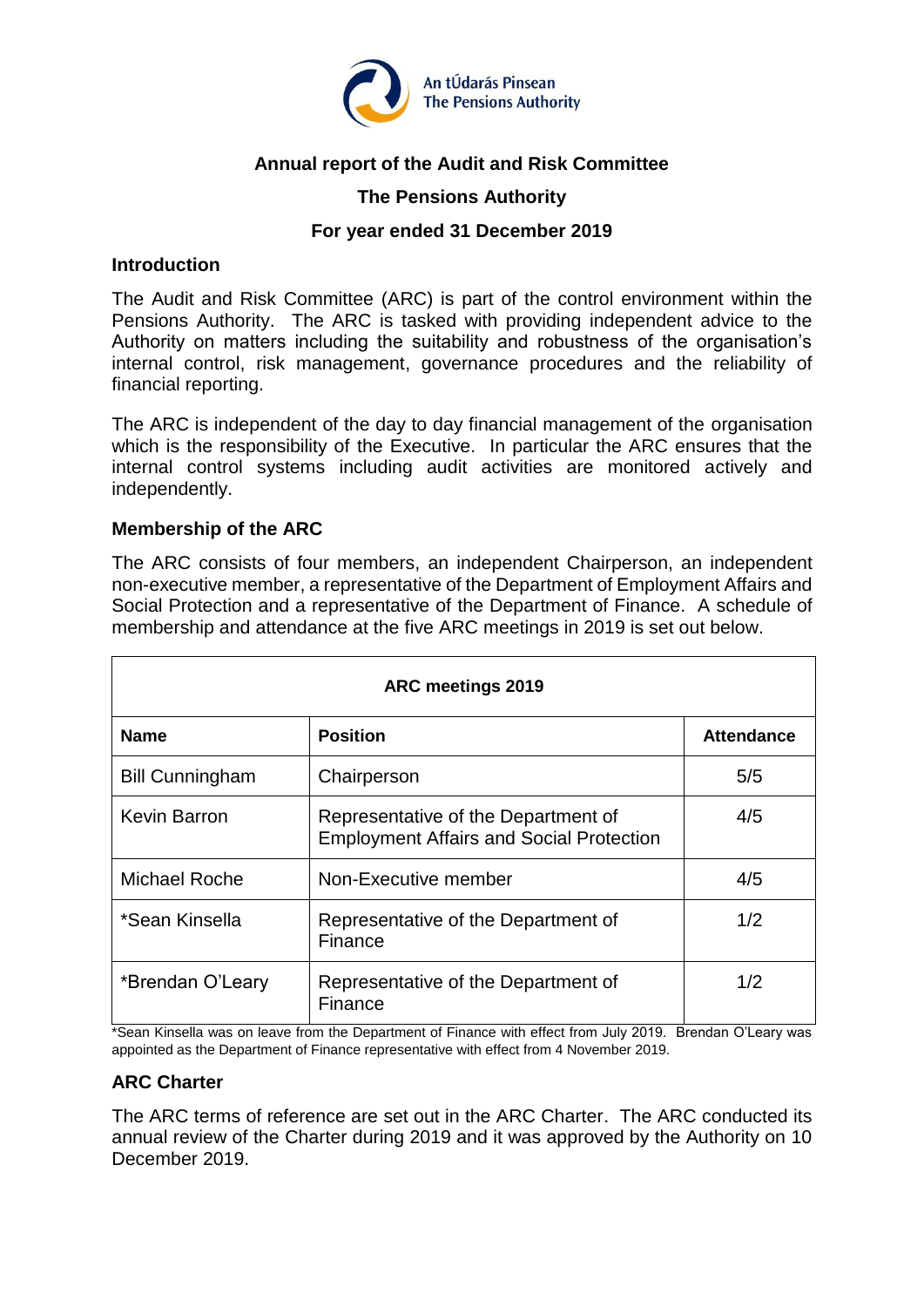

# **Annual report of the Audit and Risk Committee**

# **The Pensions Authority**

## **For year ended 31 December 2019**

#### **Introduction**

The Audit and Risk Committee (ARC) is part of the control environment within the Pensions Authority. The ARC is tasked with providing independent advice to the Authority on matters including the suitability and robustness of the organisation's internal control, risk management, governance procedures and the reliability of financial reporting.

The ARC is independent of the day to day financial management of the organisation which is the responsibility of the Executive. In particular the ARC ensures that the internal control systems including audit activities are monitored actively and independently.

## **Membership of the ARC**

The ARC consists of four members, an independent Chairperson, an independent non-executive member, a representative of the Department of Employment Affairs and Social Protection and a representative of the Department of Finance. A schedule of membership and attendance at the five ARC meetings in 2019 is set out below.

| <b>ARC meetings 2019</b> |                                                                                        |                   |  |  |
|--------------------------|----------------------------------------------------------------------------------------|-------------------|--|--|
| <b>Name</b>              | <b>Position</b>                                                                        | <b>Attendance</b> |  |  |
| <b>Bill Cunningham</b>   | Chairperson                                                                            | 5/5               |  |  |
| <b>Kevin Barron</b>      | Representative of the Department of<br><b>Employment Affairs and Social Protection</b> | 4/5               |  |  |
| <b>Michael Roche</b>     | Non-Executive member                                                                   | 4/5               |  |  |
| *Sean Kinsella           | Representative of the Department of<br>Finance                                         | 1/2               |  |  |
| *Brendan O'Leary         | Representative of the Department of<br>Finance                                         | 1/2               |  |  |

\*Sean Kinsella was on leave from the Department of Finance with effect from July 2019. Brendan O'Leary was appointed as the Department of Finance representative with effect from 4 November 2019.

## **ARC Charter**

The ARC terms of reference are set out in the ARC Charter. The ARC conducted its annual review of the Charter during 2019 and it was approved by the Authority on 10 December 2019.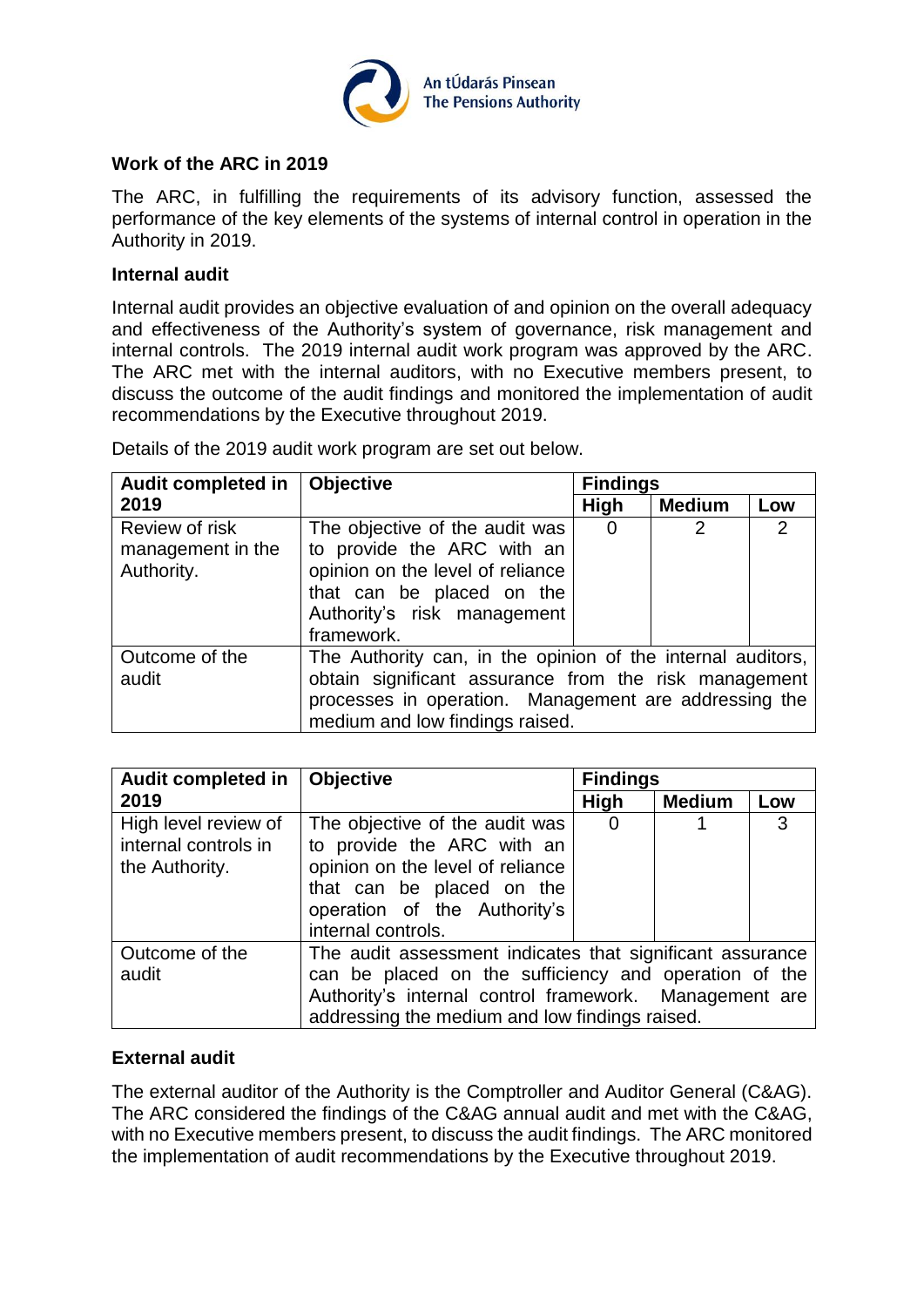

# **Work of the ARC in 2019**

The ARC, in fulfilling the requirements of its advisory function, assessed the performance of the key elements of the systems of internal control in operation in the Authority in 2019.

#### **Internal audit**

Internal audit provides an objective evaluation of and opinion on the overall adequacy and effectiveness of the Authority's system of governance, risk management and internal controls. The 2019 internal audit work program was approved by the ARC. The ARC met with the internal auditors, with no Executive members present, to discuss the outcome of the audit findings and monitored the implementation of audit recommendations by the Executive throughout 2019.

Details of the 2019 audit work program are set out below.

| <b>Audit completed in</b> | <b>Objective</b>                                            | <b>Findings</b> |                |     |
|---------------------------|-------------------------------------------------------------|-----------------|----------------|-----|
| 2019                      |                                                             | High            | <b>Medium</b>  | Low |
| Review of risk            | The objective of the audit was                              | 0               | $\overline{2}$ | 2   |
| management in the         | to provide the ARC with an                                  |                 |                |     |
| Authority.                | opinion on the level of reliance                            |                 |                |     |
|                           | that can be placed on the                                   |                 |                |     |
|                           | Authority's risk management                                 |                 |                |     |
|                           | framework.                                                  |                 |                |     |
| Outcome of the            | The Authority can, in the opinion of the internal auditors, |                 |                |     |
| audit                     | obtain significant assurance from the risk management       |                 |                |     |
|                           | processes in operation. Management are addressing the       |                 |                |     |
|                           | medium and low findings raised.                             |                 |                |     |

| <b>Audit completed in</b>                                      | <b>Objective</b>                                                                                                                                                                                                               | <b>Findings</b> |               |     |
|----------------------------------------------------------------|--------------------------------------------------------------------------------------------------------------------------------------------------------------------------------------------------------------------------------|-----------------|---------------|-----|
| 2019                                                           |                                                                                                                                                                                                                                | <b>High</b>     | <b>Medium</b> | Low |
| High level review of<br>internal controls in<br>the Authority. | The objective of the audit was<br>to provide the ARC with an<br>opinion on the level of reliance<br>that can be placed on the<br>operation of the Authority's<br>internal controls.                                            | 0               |               | 3   |
| Outcome of the<br>audit                                        | The audit assessment indicates that significant assurance<br>can be placed on the sufficiency and operation of the<br>Authority's internal control framework. Management are<br>addressing the medium and low findings raised. |                 |               |     |

## **External audit**

The external auditor of the Authority is the Comptroller and Auditor General (C&AG). The ARC considered the findings of the C&AG annual audit and met with the C&AG, with no Executive members present, to discuss the audit findings. The ARC monitored the implementation of audit recommendations by the Executive throughout 2019.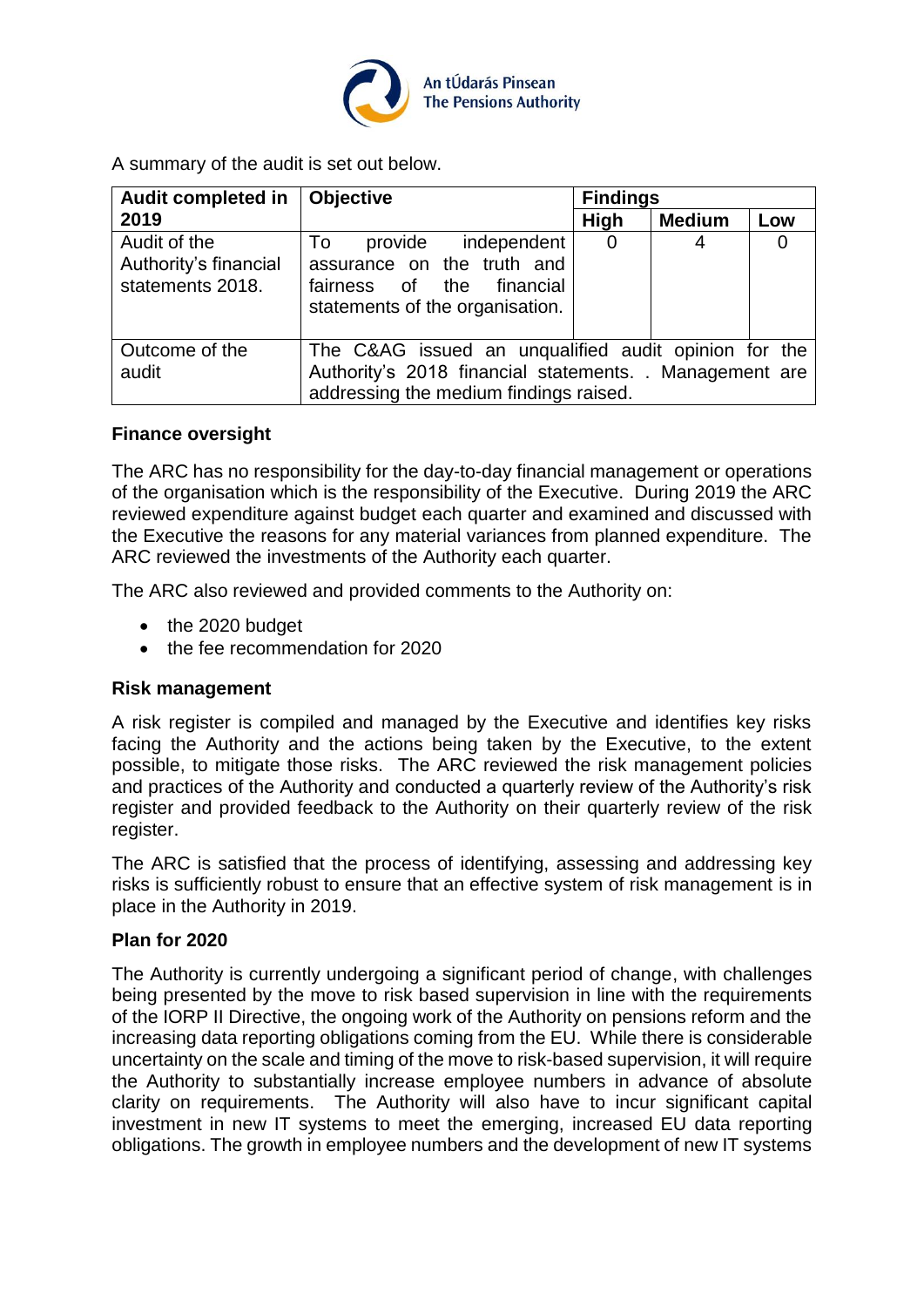

A summary of the audit is set out below.

| <b>Audit completed in</b>                                 | <b>Findings</b><br><b>Objective</b>                                                                                                                       |                |               |     |
|-----------------------------------------------------------|-----------------------------------------------------------------------------------------------------------------------------------------------------------|----------------|---------------|-----|
| 2019                                                      |                                                                                                                                                           | High           | <b>Medium</b> | Low |
| Audit of the<br>Authority's financial<br>statements 2018. | provide independent<br>To<br>assurance on the truth and<br>fairness of the financial<br>statements of the organisation.                                   | $\overline{0}$ | 4             |     |
| Outcome of the<br>audit                                   | The C&AG issued an unqualified audit opinion for the<br>Authority's 2018 financial statements. . Management are<br>addressing the medium findings raised. |                |               |     |

### **Finance oversight**

The ARC has no responsibility for the day-to-day financial management or operations of the organisation which is the responsibility of the Executive. During 2019 the ARC reviewed expenditure against budget each quarter and examined and discussed with the Executive the reasons for any material variances from planned expenditure. The ARC reviewed the investments of the Authority each quarter.

The ARC also reviewed and provided comments to the Authority on:

- the 2020 budget
- the fee recommendation for 2020

## **Risk management**

A risk register is compiled and managed by the Executive and identifies key risks facing the Authority and the actions being taken by the Executive, to the extent possible, to mitigate those risks. The ARC reviewed the risk management policies and practices of the Authority and conducted a quarterly review of the Authority's risk register and provided feedback to the Authority on their quarterly review of the risk register.

The ARC is satisfied that the process of identifying, assessing and addressing key risks is sufficiently robust to ensure that an effective system of risk management is in place in the Authority in 2019.

#### **Plan for 2020**

The Authority is currently undergoing a significant period of change, with challenges being presented by the move to risk based supervision in line with the requirements of the IORP II Directive, the ongoing work of the Authority on pensions reform and the increasing data reporting obligations coming from the EU. While there is considerable uncertainty on the scale and timing of the move to risk-based supervision, it will require the Authority to substantially increase employee numbers in advance of absolute clarity on requirements. The Authority will also have to incur significant capital investment in new IT systems to meet the emerging, increased EU data reporting obligations. The growth in employee numbers and the development of new IT systems